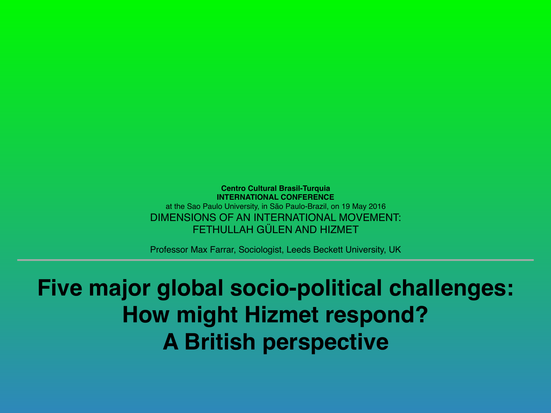**Centro Cultural Brasil-Turquia INTERNATIONAL CONFERENCE** at the Sao Paulo University, in São Paulo-Brazil, on 19 May 2016 DIMENSIONS OF AN INTERNATIONAL MOVEMENT: FETHULLAH GÜLEN AND HIZMET

Professor Max Farrar, Sociologist, Leeds Beckett University, UK

#### **Five major global socio-political challenges: How might Hizmet respond? A British perspective**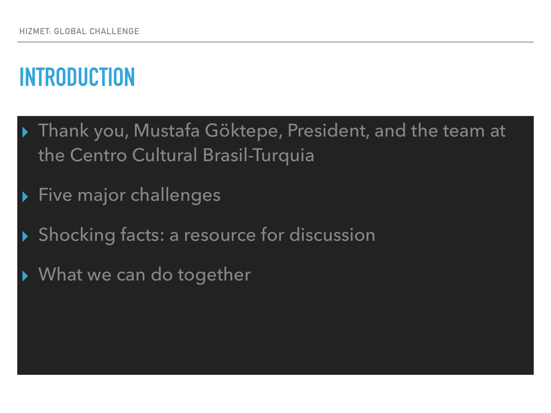# **INTRODUCTION**

- ▶ Thank you, Mustafa Göktepe, President, and the team at the Centro Cultural Brasil-Turquia
- Five major challenges
- Shocking facts: a resource for discussion
- ▸ What we can do together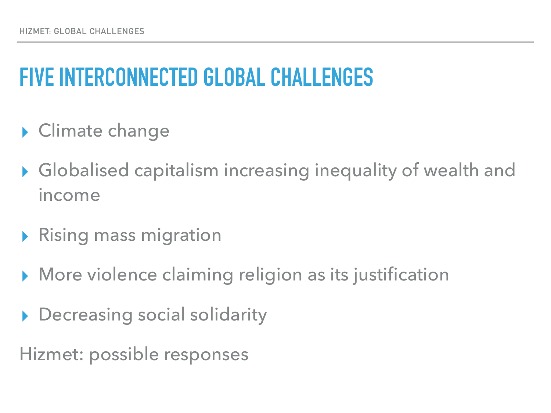## **FIVE INTERCONNECTED GLOBAL CHALLENGES**

- ▶ Climate change
- ▸ Globalised capitalism increasing inequality of wealth and income
- ▸ Rising mass migration
- ▶ More violence claiming religion as its justification
- Decreasing social solidarity
- Hizmet: possible responses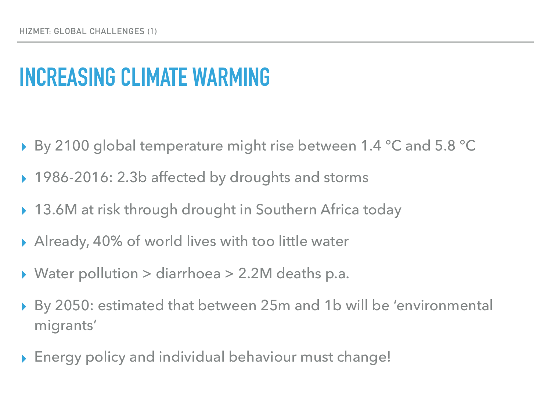#### **INCREASING CLIMATE WARMING**

- ▸ By 2100 global temperature might rise between 1.4 °C and 5.8 °C
- ▸ 1986-2016: 2.3b affected by droughts and storms
- ▶ 13.6M at risk through drought in Southern Africa today
- Already, 40% of world lives with too little water
- Water pollution > diarrhoea > 2.2M deaths p.a.
- By 2050: estimated that between 25m and 1b will be 'environmental migrants'
- ▸ Energy policy and individual behaviour must change!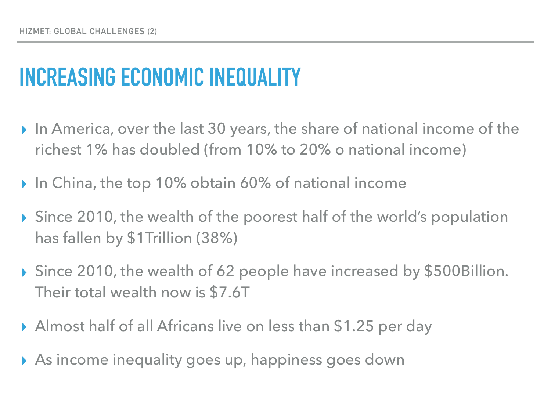# **INCREASING ECONOMIC INEQUALITY**

- ▸ In America, over the last 30 years, the share of national income of the richest 1% has doubled (from 10% to 20% o national income)
- ▸ In China, the top 10% obtain 60% of national income
- ▸ Since 2010, the wealth of the poorest half of the world's population has fallen by \$1Trillion (38%)
- ▸ Since 2010, the wealth of 62 people have increased by \$500Billion. Their total wealth now is \$7.6T
- ▸ Almost half of all Africans live on less than \$1.25 per day
- ▸ As income inequality goes up, happiness goes down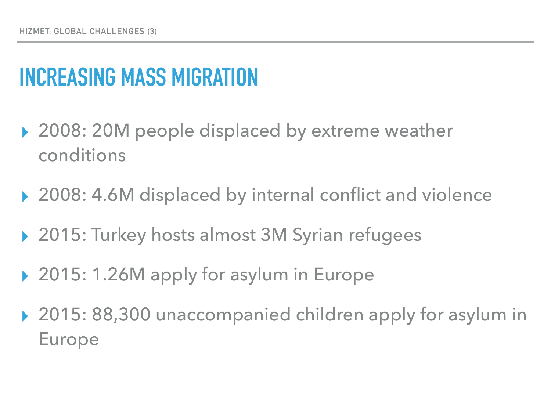# **INCREASING MASS MIGRATION**

- ▸ 2008: 20M people displaced by extreme weather conditions
- ▶ 2008: 4.6M displaced by internal conflict and violence
- ▸ 2015: Turkey hosts almost 3M Syrian refugees
- ▸ 2015: 1.26M apply for asylum in Europe
- ▸ 2015: 88,300 unaccompanied children apply for asylum in Europe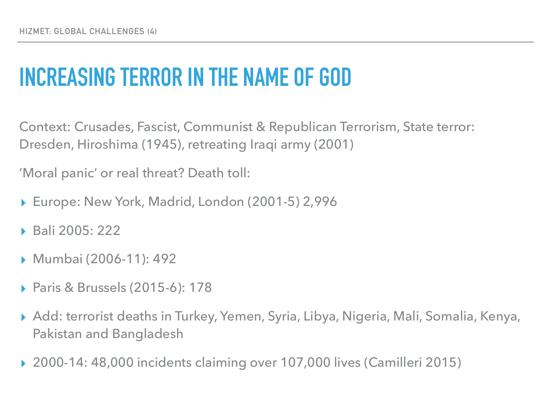# **INCREASING TERROR IN THE NAME OF GOD**

Context: Crusades, Fascist, Communist & Republican Terrorism, State terror: Dresden, Hiroshima (1945), retreating Iraqi army (2001)

'Moral panic' or real threat? Death toll:

- ▸ Europe: New York, Madrid, London (2001-5) 2,996
- ▸ Bali 2005: 222
- ▸ Mumbai (2006-11): 492
- ▸ Paris & Brussels (2015-6): 178
- ▸ Add: terrorist deaths in Turkey, Yemen, Syria, Libya, Nigeria, Mali, Somalia, Kenya, Pakistan and Bangladesh
- ▸ 2000-14: 48,000 incidents claiming over 107,000 lives (Camilleri 2015)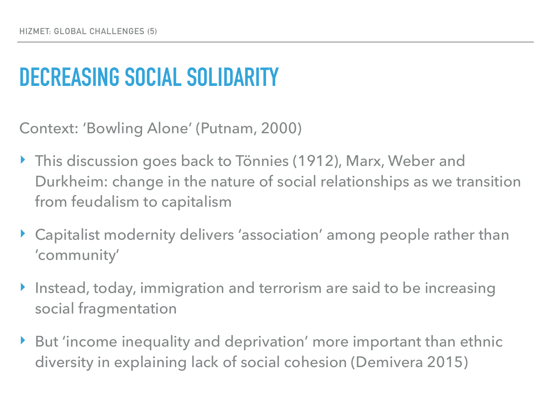# **DECREASING SOCIAL SOLIDARITY**

Context: 'Bowling Alone' (Putnam, 2000)

- ▶ This discussion goes back to Tönnies (1912), Marx, Weber and Durkheim: change in the nature of social relationships as we transition from feudalism to capitalism
- ‣ Capitalist modernity delivers 'association' among people rather than 'community'
- ‣ Instead, today, immigration and terrorism are said to be increasing social fragmentation
- ▶ But 'income inequality and deprivation' more important than ethnic diversity in explaining lack of social cohesion (Demivera 2015)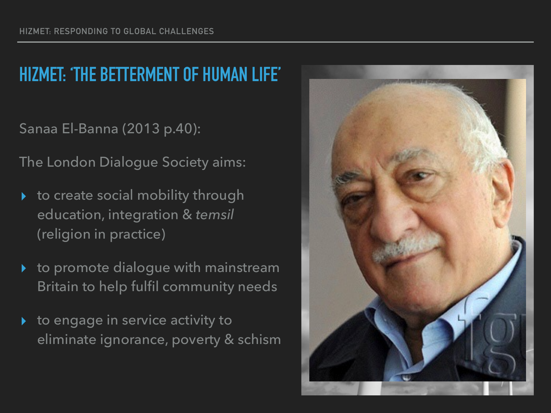#### **HIZMET: 'THE BETTERMENT OF HUMAN LIFE'**

Sanaa El-Banna (2013 p.40):

The London Dialogue Society aims:

- to create social mobility through education, integration & *temsil*  (religion in practice)
- to promote dialogue with mainstream Britain to help fulfil community needs
- to engage in service activity to eliminate ignorance, poverty & schism

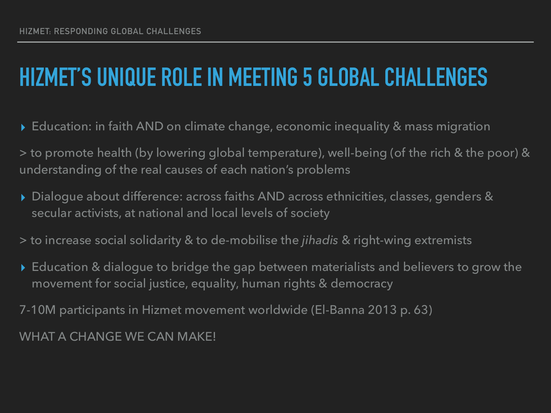# **HIZMET'S UNIQUE ROLE IN MEETING 5 GLOBAL CHALLENGES**

- ▸ Education: in faith AND on climate change, economic inequality & mass migration
- > to promote health (by lowering global temperature), well-being (of the rich & the poor) & understanding of the real causes of each nation's problems
- ▸ Dialogue about difference: across faiths AND across ethnicities, classes, genders & secular activists, at national and local levels of society
- > to increase social solidarity & to de-mobilise the *jihadis* & right-wing extremists
- ▸ Education & dialogue to bridge the gap between materialists and believers to grow the movement for social justice, equality, human rights & democracy

7-10M participants in Hizmet movement worldwide (El-Banna 2013 p. 63)

WHAT A CHANGE WE CAN MAKE!